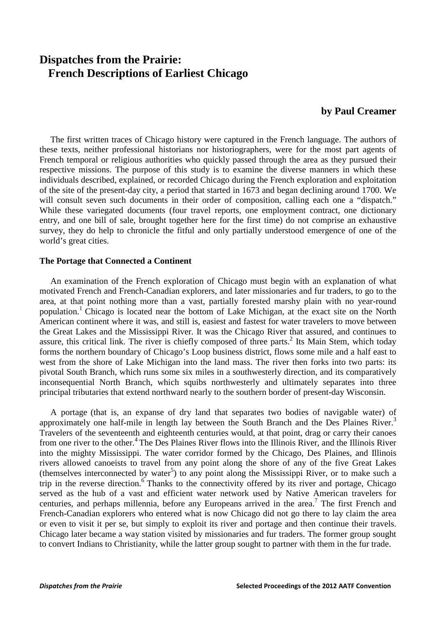# **Dispatches from the Prairie: French Descriptions of Earliest Chicago**

# **by Paul Creamer**

 The first written traces of Chicago history were captured in the French language. The authors of these texts, neither professional historians nor historiographers, were for the most part agents of French temporal or religious authorities who quickly passed through the area as they pursued their respective missions. The purpose of this study is to examine the diverse manners in which these individuals described, explained, or recorded Chicago during the French exploration and exploitation of the site of the present-day city, a period that started in 1673 and began declining around 1700. We will consult seven such documents in their order of composition, calling each one a "dispatch." While these variegated documents (four travel reports, one employment contract, one dictionary entry, and one bill of sale, brought together here for the first time) do not comprise an exhaustive survey, they do help to chronicle the fitful and only partially understood emergence of one of the world's great cities.

### **The Portage that Connected a Continent**

 An examination of the French exploration of Chicago must begin with an explanation of what motivated French and French-Canadian explorers, and later missionaries and fur traders, to go to the area, at that point nothing more than a vast, partially forested marshy plain with no year-round population.1 Chicago is located near the bottom of Lake Michigan, at the exact site on the North American continent where it was, and still is, easiest and fastest for water travelers to move between the Great Lakes and the Mississippi River. It was the Chicago River that assured, and continues to assure, this critical link. The river is chiefly composed of three parts.<sup>2</sup> Its Main Stem, which today forms the northern boundary of Chicago's Loop business district, flows some mile and a half east to west from the shore of Lake Michigan into the land mass. The river then forks into two parts: its pivotal South Branch, which runs some six miles in a southwesterly direction, and its comparatively inconsequential North Branch, which squibs northwesterly and ultimately separates into three principal tributaries that extend northward nearly to the southern border of present-day Wisconsin.

 A portage (that is, an expanse of dry land that separates two bodies of navigable water) of approximately one half-mile in length lay between the South Branch and the Des Plaines River.<sup>3</sup> Travelers of the seventeenth and eighteenth centuries would, at that point, drag or carry their canoes from one river to the other.4 The Des Plaines River flows into the Illinois River, and the Illinois River into the mighty Mississippi. The water corridor formed by the Chicago, Des Plaines, and Illinois rivers allowed canoeists to travel from any point along the shore of any of the five Great Lakes (themselves interconnected by water<sup>5</sup>) to any point along the Mississippi River, or to make such a trip in the reverse direction.<sup>6</sup> Thanks to the connectivity offered by its river and portage, Chicago served as the hub of a vast and efficient water network used by Native American travelers for centuries, and perhaps millennia, before any Europeans arrived in the area.<sup>7</sup> The first French and French-Canadian explorers who entered what is now Chicago did not go there to lay claim the area or even to visit it per se, but simply to exploit its river and portage and then continue their travels. Chicago later became a way station visited by missionaries and fur traders. The former group sought to convert Indians to Christianity, while the latter group sought to partner with them in the fur trade.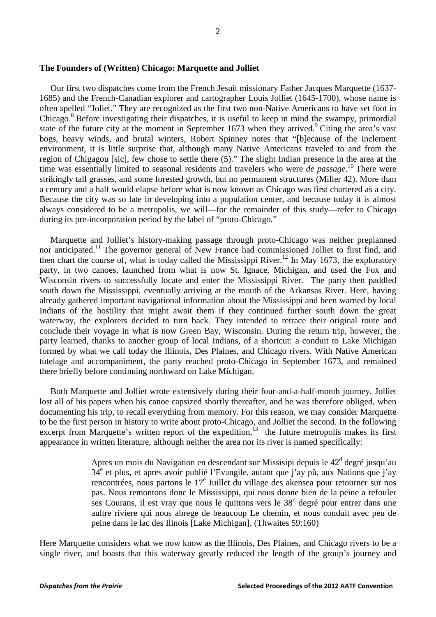#### **The Founders of (Written) Chicago: Marquette and Jolliet**

 Our first two dispatches come from the French Jesuit missionary Father Jacques Marquette (1637- 1685) and the French-Canadian explorer and cartographer Louis Jolliet (1645-1700), whose name is often spelled "Joliet." They are recognized as the first two non-Native Americans to have set foot in Chicago.<sup>8</sup> Before investigating their dispatches, it is useful to keep in mind the swampy, primordial state of the future city at the moment in September 1673 when they arrived.<sup>9</sup> Citing the area's vast bogs, heavy winds, and brutal winters, Robert Spinney notes that "[b]ecause of the inclement environment, it is little surprise that, although many Native Americans traveled to and from the region of Chigagou [sic], few chose to settle there (5)." The slight Indian presence in the area at the time was essentially limited to seasonal residents and travelers who were *de passage*. <sup>10</sup> There were strikingly tall grasses, and some forested growth, but no permanent structures (Miller 42). More than a century and a half would elapse before what is now known as Chicago was first chartered as a city. Because the city was so late in developing into a population center, and because today it is almost always considered to be a metropolis, we will—for the remainder of this study—refer to Chicago during its pre-incorporation period by the label of "proto-Chicago."

 Marquette and Jolliet's history-making passage through proto-Chicago was neither preplanned nor anticipated.<sup>11</sup> The governor general of New France had commissioned Jolliet to first find, and then chart the course of, what is today called the Mississippi River.<sup>12</sup> In May 1673, the exploratory party, in two canoes, launched from what is now St. Ignace, Michigan, and used the Fox and Wisconsin rivers to successfully locate and enter the Mississippi River. The party then paddled south down the Mississippi, eventually arriving at the mouth of the Arkansas River. Here, having already gathered important navigational information about the Mississippi and been warned by local Indians of the hostility that might await them if they continued further south down the great waterway, the explorers decided to turn back. They intended to retrace their original route and conclude their voyage in what is now Green Bay, Wisconsin. During the return trip, however, the party learned, thanks to another group of local Indians, of a shortcut: a conduit to Lake Michigan formed by what we call today the Illinois, Des Plaines, and Chicago rivers. With Native American tutelage and accompaniment, the party reached proto-Chicago in September 1673, and remained there briefly before continuing northward on Lake Michigan.

 Both Marquette and Jolliet wrote extensively during their four-and-a-half-month journey. Jolliet lost all of his papers when his canoe capsized shortly thereafter, and he was therefore obliged, when documenting his trip, to recall everything from memory. For this reason, we may consider Marquette to be the first person in history to write about proto-Chicago, and Jolliet the second. In the following excerpt from Marquette's written report of the expedition,<sup>13</sup> the future metropolis makes its first appearance in written literature, although neither the area nor its river is named specifically:

> Apres un mois du Navigation en descendant sur Missisipi depuis le  $42<sup>d</sup>$  degré jusqu'au  $34<sup>e</sup>$  et plus, et apres avoir publié l'Evangile, autant que j'av pû, aux Nations que j'av rencontrées, nous partons le  $17<sup>e</sup>$  Juillet du village des akensea pour retourner sur nos pas. Nous remontons donc le Mississippi, qui nous donne bien de la peine a refouler ses Courans, il est vray que nous le quittons vers le  $38<sup>e</sup>$  degré pour entrer dans une aultre riviere qui nous abrege de beaucoup Le chemin, et nous conduit avec peu de peine dans le lac des Ilinois [Lake Michigan]. (Thwaites 59:160)

Here Marquette considers what we now know as the Illinois, Des Plaines, and Chicago rivers to be a single river, and boasts that this waterway greatly reduced the length of the group's journey and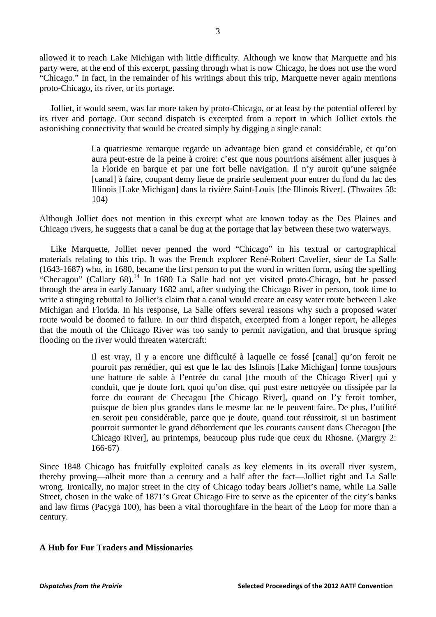allowed it to reach Lake Michigan with little difficulty. Although we know that Marquette and his party were, at the end of this excerpt, passing through what is now Chicago, he does not use the word "Chicago." In fact, in the remainder of his writings about this trip, Marquette never again mentions proto-Chicago, its river, or its portage.

 Jolliet, it would seem, was far more taken by proto-Chicago, or at least by the potential offered by its river and portage. Our second dispatch is excerpted from a report in which Jolliet extols the astonishing connectivity that would be created simply by digging a single canal:

> La quatriesme remarque regarde un advantage bien grand et considérable, et qu'on aura peut-estre de la peine à croire: c'est que nous pourrions aisément aller jusques à la Floride en barque et par une fort belle navigation. Il n'y auroit qu'une saignée [canal] à faire, coupant demy lieue de prairie seulement pour entrer du fond du lac des Illinois [Lake Michigan] dans la rivière Saint-Louis [the Illinois River]. (Thwaites 58: 104)

Although Jolliet does not mention in this excerpt what are known today as the Des Plaines and Chicago rivers, he suggests that a canal be dug at the portage that lay between these two waterways.

 Like Marquette, Jolliet never penned the word "Chicago" in his textual or cartographical materials relating to this trip. It was the French explorer René-Robert Cavelier, sieur de La Salle (1643-1687) who, in 1680, became the first person to put the word in written form, using the spelling "Checagou" (Callary  $68$ ).<sup>14</sup> In 1680 La Salle had not yet visited proto-Chicago, but he passed through the area in early January 1682 and, after studying the Chicago River in person, took time to write a stinging rebuttal to Jolliet's claim that a canal would create an easy water route between Lake Michigan and Florida. In his response, La Salle offers several reasons why such a proposed water route would be doomed to failure. In our third dispatch, excerpted from a longer report, he alleges that the mouth of the Chicago River was too sandy to permit navigation, and that brusque spring flooding on the river would threaten watercraft:

> Il est vray, il y a encore une difficulté à laquelle ce fossé [canal] qu'on feroit ne pouroit pas remédier, qui est que le lac des Islinois [Lake Michigan] forme tousjours une batture de sable à l'entrée du canal [the mouth of the Chicago River] qui y conduit, que je doute fort, quoi qu'on dise, qui pust estre nettoyée ou dissipée par la force du courant de Checagou [the Chicago River], quand on l'y feroit tomber, puisque de bien plus grandes dans le mesme lac ne le peuvent faire. De plus, l'utilité en seroit peu considérable, parce que je doute, quand tout réussiroit, si un bastiment pourroit surmonter le grand débordement que les courants causent dans Checagou [the Chicago River], au printemps, beaucoup plus rude que ceux du Rhosne. (Margry 2: 166-67)

Since 1848 Chicago has fruitfully exploited canals as key elements in its overall river system, thereby proving—albeit more than a century and a half after the fact—Jolliet right and La Salle wrong. Ironically, no major street in the city of Chicago today bears Jolliet's name, while La Salle Street, chosen in the wake of 1871's Great Chicago Fire to serve as the epicenter of the city's banks and law firms (Pacyga 100), has been a vital thoroughfare in the heart of the Loop for more than a century.

# **A Hub for Fur Traders and Missionaries**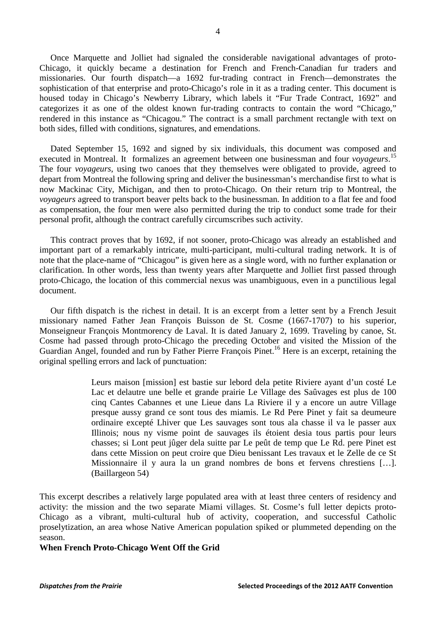Once Marquette and Jolliet had signaled the considerable navigational advantages of proto-Chicago, it quickly became a destination for French and French-Canadian fur traders and missionaries. Our fourth dispatch—a 1692 fur-trading contract in French—demonstrates the sophistication of that enterprise and proto-Chicago's role in it as a trading center. This document is housed today in Chicago's Newberry Library, which labels it "Fur Trade Contract, 1692" and categorizes it as one of the oldest known fur-trading contracts to contain the word "Chicago," rendered in this instance as "Chicagou." The contract is a small parchment rectangle with text on both sides, filled with conditions, signatures, and emendations.

 Dated September 15, 1692 and signed by six individuals, this document was composed and executed in Montreal. It formalizes an agreement between one businessman and four *voyageurs*. 15 The four *voyageurs*, using two canoes that they themselves were obligated to provide, agreed to depart from Montreal the following spring and deliver the businessman's merchandise first to what is now Mackinac City, Michigan, and then to proto-Chicago. On their return trip to Montreal, the *voyageurs* agreed to transport beaver pelts back to the businessman. In addition to a flat fee and food as compensation, the four men were also permitted during the trip to conduct some trade for their personal profit, although the contract carefully circumscribes such activity.

 This contract proves that by 1692, if not sooner, proto-Chicago was already an established and important part of a remarkably intricate, multi-participant, multi-cultural trading network. It is of note that the place-name of "Chicagou" is given here as a single word, with no further explanation or clarification. In other words, less than twenty years after Marquette and Jolliet first passed through proto-Chicago, the location of this commercial nexus was unambiguous, even in a punctilious legal document.

 Our fifth dispatch is the richest in detail. It is an excerpt from a letter sent by a French Jesuit missionary named Father Jean François Buisson de St. Cosme (1667-1707) to his superior, Monseigneur François Montmorency de Laval. It is dated January 2, 1699. Traveling by canoe, St. Cosme had passed through proto-Chicago the preceding October and visited the Mission of the Guardian Angel, founded and run by Father Pierre François Pinet.<sup>16</sup> Here is an excerpt, retaining the original spelling errors and lack of punctuation:

> Leurs maison [mission] est bastie sur lebord dela petite Riviere ayant d'un costé Le Lac et delautre une belle et grande prairie Le Village des Saûvages est plus de 100 cinq Cantes Cabannes et une Lieue dans La Riviere il y a encore un autre Village presque aussy grand ce sont tous des miamis. Le Rd Pere Pinet y fait sa deumeure ordinaire excepté Lhiver que Les sauvages sont tous ala chasse il va le passer aux Illinois; nous ny visme point de sauvages ils étoient desia tous partis pour leurs chasses; si Lont peut jûger dela suitte par Le peût de temp que Le Rd. pere Pinet est dans cette Mission on peut croire que Dieu benissant Les travaux et le Zelle de ce St Missionnaire il y aura la un grand nombres de bons et fervens chrestiens […]. (Baillargeon 54)

This excerpt describes a relatively large populated area with at least three centers of residency and activity: the mission and the two separate Miami villages. St. Cosme's full letter depicts proto-Chicago as a vibrant, multi-cultural hub of activity, cooperation, and successful Catholic proselytization, an area whose Native American population spiked or plummeted depending on the season.

#### **When French Proto-Chicago Went Off the Grid**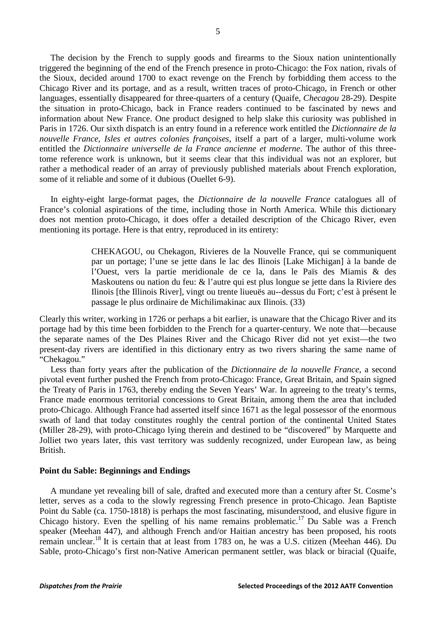The decision by the French to supply goods and firearms to the Sioux nation unintentionally triggered the beginning of the end of the French presence in proto-Chicago: the Fox nation, rivals of the Sioux, decided around 1700 to exact revenge on the French by forbidding them access to the Chicago River and its portage, and as a result, written traces of proto-Chicago, in French or other languages, essentially disappeared for three-quarters of a century (Quaife, *Checagou* 28-29). Despite the situation in proto-Chicago, back in France readers continued to be fascinated by news and information about New France. One product designed to help slake this curiosity was published in Paris in 1726. Our sixth dispatch is an entry found in a reference work entitled the *Dictionnaire de la nouvelle France, Isles et autres colonies françoises*, itself a part of a larger, multi-volume work entitled the *Dictionnaire universelle de la France ancienne et moderne*. The author of this threetome reference work is unknown, but it seems clear that this individual was not an explorer, but rather a methodical reader of an array of previously published materials about French exploration, some of it reliable and some of it dubious (Ouellet 6-9).

 In eighty-eight large-format pages, the *Dictionnaire de la nouvelle France* catalogues all of France's colonial aspirations of the time, including those in North America. While this dictionary does not mention proto-Chicago, it does offer a detailed description of the Chicago River, even mentioning its portage. Here is that entry, reproduced in its entirety:

> CHEKAGOU, ou Chekagon, Rivieres de la Nouvelle France, qui se communiquent par un portage; l'une se jette dans le lac des Ilinois [Lake Michigan] à la bande de l'Ouest, vers la partie meridionale de ce la, dans le Païs des Miamis & des Maskoutens ou nation du feu: & l'autre qui est plus longue se jette dans la Riviere des Ilinois [the Illinois River], vingt ou trente liueuës au--dessus du Fort; c'est à présent le passage le plus ordinaire de Michilimakinac aux Ilinois. (33)

Clearly this writer, working in 1726 or perhaps a bit earlier, is unaware that the Chicago River and its portage had by this time been forbidden to the French for a quarter-century. We note that—because the separate names of the Des Plaines River and the Chicago River did not yet exist—the two present-day rivers are identified in this dictionary entry as two rivers sharing the same name of "Chekagou."

 Less than forty years after the publication of the *Dictionnaire de la nouvelle France*, a second pivotal event further pushed the French from proto-Chicago: France, Great Britain, and Spain signed the Treaty of Paris in 1763, thereby ending the Seven Years' War. In agreeing to the treaty's terms, France made enormous territorial concessions to Great Britain, among them the area that included proto-Chicago. Although France had asserted itself since 1671 as the legal possessor of the enormous swath of land that today constitutes roughly the central portion of the continental United States (Miller 28-29), with proto-Chicago lying therein and destined to be "discovered" by Marquette and Jolliet two years later, this vast territory was suddenly recognized, under European law, as being British.

#### **Point du Sable: Beginnings and Endings**

 A mundane yet revealing bill of sale, drafted and executed more than a century after St. Cosme's letter, serves as a coda to the slowly regressing French presence in proto-Chicago. Jean Baptiste Point du Sable (ca. 1750-1818) is perhaps the most fascinating, misunderstood, and elusive figure in Chicago history. Even the spelling of his name remains problematic.17 Du Sable was a French speaker (Meehan 447), and although French and/or Haitian ancestry has been proposed, his roots remain unclear.18 It is certain that at least from 1783 on, he was a U.S. citizen (Meehan 446). Du Sable, proto-Chicago's first non-Native American permanent settler, was black or biracial (Quaife,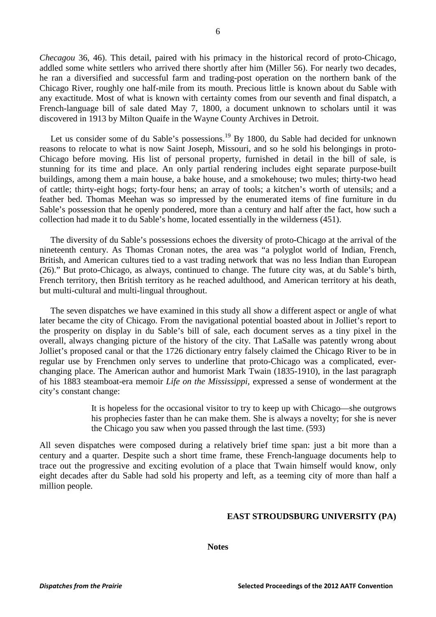*Checagou* 36, 46). This detail, paired with his primacy in the historical record of proto-Chicago, addled some white settlers who arrived there shortly after him (Miller 56). For nearly two decades, he ran a diversified and successful farm and trading-post operation on the northern bank of the Chicago River, roughly one half-mile from its mouth. Precious little is known about du Sable with any exactitude. Most of what is known with certainty comes from our seventh and final dispatch, a French-language bill of sale dated May 7, 1800, a document unknown to scholars until it was discovered in 1913 by Milton Quaife in the Wayne County Archives in Detroit.

Let us consider some of du Sable's possessions.<sup>19</sup> By 1800, du Sable had decided for unknown reasons to relocate to what is now Saint Joseph, Missouri, and so he sold his belongings in proto-Chicago before moving. His list of personal property, furnished in detail in the bill of sale, is stunning for its time and place. An only partial rendering includes eight separate purpose-built buildings, among them a main house, a bake house, and a smokehouse; two mules; thirty-two head of cattle; thirty-eight hogs; forty-four hens; an array of tools; a kitchen's worth of utensils; and a feather bed. Thomas Meehan was so impressed by the enumerated items of fine furniture in du Sable's possession that he openly pondered, more than a century and half after the fact, how such a collection had made it to du Sable's home, located essentially in the wilderness (451).

 The diversity of du Sable's possessions echoes the diversity of proto-Chicago at the arrival of the nineteenth century. As Thomas Cronan notes, the area was "a polyglot world of Indian, French, British, and American cultures tied to a vast trading network that was no less Indian than European (26)." But proto-Chicago, as always, continued to change. The future city was, at du Sable's birth, French territory, then British territory as he reached adulthood, and American territory at his death, but multi-cultural and multi-lingual throughout.

 The seven dispatches we have examined in this study all show a different aspect or angle of what later became the city of Chicago. From the navigational potential boasted about in Jolliet's report to the prosperity on display in du Sable's bill of sale, each document serves as a tiny pixel in the overall, always changing picture of the history of the city. That LaSalle was patently wrong about Jolliet's proposed canal or that the 1726 dictionary entry falsely claimed the Chicago River to be in regular use by Frenchmen only serves to underline that proto-Chicago was a complicated, everchanging place. The American author and humorist Mark Twain (1835-1910), in the last paragraph of his 1883 steamboat-era memoir *Life on the Mississippi*, expressed a sense of wonderment at the city's constant change:

> It is hopeless for the occasional visitor to try to keep up with Chicago—she outgrows his prophecies faster than he can make them. She is always a novelty; for she is never the Chicago you saw when you passed through the last time. (593)

All seven dispatches were composed during a relatively brief time span: just a bit more than a century and a quarter. Despite such a short time frame, these French-language documents help to trace out the progressive and exciting evolution of a place that Twain himself would know, only eight decades after du Sable had sold his property and left, as a teeming city of more than half a million people.

#### **EAST STROUDSBURG UNIVERSITY (PA)**

#### **Notes**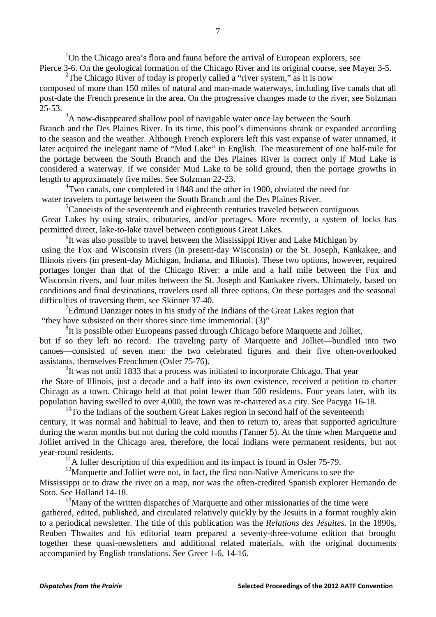<sup>1</sup>On the Chicago area's flora and fauna before the arrival of European explorers, see Pierce 3-6. On the geological formation of the Chicago River and its original course, see Mayer 3-5.

<sup>2</sup>The Chicago River of today is properly called a "river system," as it is now composed of more than 150 miles of natural and man-made waterways, including five canals that all post-date the French presence in the area. On the progressive changes made to the river, see Solzman 25-53.

 $3A$  now-disappeared shallow pool of navigable water once lay between the South Branch and the Des Plaines River. In its time, this pool's dimensions shrank or expanded according to the season and the weather. Although French explorers left this vast expanse of water unnamed, it later acquired the inelegant name of "Mud Lake" in English. The measurement of one half-mile for the portage between the South Branch and the Des Plaines River is correct only if Mud Lake is considered a waterway. If we consider Mud Lake to be solid ground, then the portage growths in length to approximately five miles. See Solzman 22-23.

<sup>4</sup>Two canals, one completed in 1848 and the other in 1900, obviated the need for water travelers to portage between the South Branch and the Des Plaines River.

 ${}^{5}$ Canoeists of the seventeenth and eighteenth centuries traveled between contiguous Great Lakes by using straits, tributaries, and/or portages. More recently, a system of locks has permitted direct, lake-to-lake travel between contiguous Great Lakes.

<sup>6</sup>It was also possible to travel between the Mississippi River and Lake Michigan by using the Fox and Wisconsin rivers (in present-day Wisconsin) or the St. Joseph, Kankakee, and

Illinois rivers (in present-day Michigan, Indiana, and Illinois). These two options, however, required portages longer than that of the Chicago River: a mile and a half mile between the Fox and Wisconsin rivers, and four miles between the St. Joseph and Kankakee rivers. Ultimately, based on conditions and final destinations, travelers used all three options. On these portages and the seasonal difficulties of traversing them, see Skinner 37-40.

 $7$ Edmund Danziger notes in his study of the Indians of the Great Lakes region that "they have subsisted on their shores since time immemorial. (3)"

<sup>8</sup>It is possible other Europeans passed through Chicago before Marquette and Jolliet, but if so they left no record. The traveling party of Marquette and Jolliet—bundled into two canoes—consisted of seven men: the two celebrated figures and their five often-overlooked assistants, themselves Frenchmen (Osler 75-76).

<sup>9</sup>It was not until 1833 that a process was initiated to incorporate Chicago. That year the State of Illinois, just a decade and a half into its own existence, received a petition to charter Chicago as a town. Chicago held at that point fewer than 500 residents. Four years later, with its population having swelled to over 4,000, the town was re-chartered as a city. See Pacyga 16-18.

 $10$ To the Indians of the southern Great Lakes region in second half of the seventeenth century, it was normal and habitual to leave, and then to return to, areas that supported agriculture during the warm months but not during the cold months (Tanner 5). At the time when Marquette and Jolliet arrived in the Chicago area, therefore, the local Indians were permanent residents, but not year-round residents. 11A fuller description of this expedition and its impact is found in Osler 75-79.

 $12$ Marquette and Jolliet were not, in fact, the first non-Native Americans to see the

Mississippi or to draw the river on a map, nor was the often-credited Spanish explorer Hernando de Soto. See Holland 14-18.

 $13$ Many of the written dispatches of Marquette and other missionaries of the time were gathered, edited, published, and circulated relatively quickly by the Jesuits in a format roughly akin to a periodical newsletter. The title of this publication was the *Relations des Jésuites*. In the 1890s, Reuben Thwaites and his editorial team prepared a seventy-three-volume edition that brought together these quasi-newsletters and additional related materials, with the original documents accompanied by English translations. See Greer 1-6, 14-16.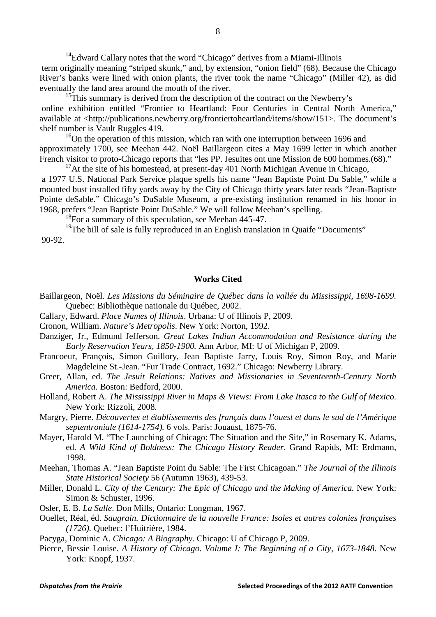$14$ Edward Callary notes that the word "Chicago" derives from a Miami-Illinois term originally meaning "striped skunk," and, by extension, "onion field" (68). Because the Chicago River's banks were lined with onion plants, the river took the name "Chicago" (Miller 42), as did eventually the land area around the mouth of the river.

<sup>15</sup>This summary is derived from the description of the contract on the Newberry's online exhibition entitled "Frontier to Heartland: Four Centuries in Central North America," available at <http://publications.newberry.org/frontiertoheartland/items/show/151>. The document's shelf number is Vault Ruggles 419.

<sup>16</sup>On the operation of this mission, which ran with one interruption between 1696 and approximately 1700, see Meehan 442. Noël Baillargeon cites a May 1699 letter in which another French visitor to proto-Chicago reports that "les PP. Jesuites ont une Mission de 600 hommes.(68)."

 $17$ At the site of his homestead, at present-day 401 North Michigan Avenue in Chicago,

a 1977 U.S. National Park Service plaque spells his name "Jean Baptiste Point Du Sable," while a mounted bust installed fifty yards away by the City of Chicago thirty years later reads "Jean-Baptiste Pointe deSable." Chicago's DuSable Museum, a pre-existing institution renamed in his honor in 1968, prefers "Jean Baptiste Point DuSable." We will follow Meehan's spelling.

<sup>18</sup>For a summary of this speculation, see Meehan 445-47.<br><sup>19</sup>The bill of sale is fully reproduced in an English translation in Quaife "Documents" 90-92.

# **Works Cited**

- Baillargeon, Noël. *Les Missions du Séminaire de Québec dans la vallée du Mississippi, 1698-1699.* Quebec: Bibliothèque nationale du Québec, 2002.
- Callary, Edward. *Place Names of Illinois*. Urbana: U of Illinois P, 2009.
- Cronon, William. *Nature's Metropolis*. New York: Norton, 1992.
- Danziger, Jr., Edmund Jefferson. *Great Lakes Indian Accommodation and Resistance during the Early Reservation Years, 1850-1900.* Ann Arbor, MI: U of Michigan P, 2009.
- Francoeur, François, Simon Guillory, Jean Baptiste Jarry, Louis Roy, Simon Roy, and Marie Magdeleine St.-Jean. "Fur Trade Contract, 1692." Chicago: Newberry Library.
- Greer, Allan, ed. *The Jesuit Relations: Natives and Missionaries in Seventeenth-Century North America.* Boston: Bedford, 2000.
- Holland, Robert A. *The Mississippi River in Maps & Views: From Lake Itasca to the Gulf of Mexico.* New York: Rizzoli, 2008.

Margry, Pierre. *Découvertes et établissements des français dans l'ouest et dans le sud de l'Amérique septentroniale (1614-1754).* 6 vols. Paris: Jouaust, 1875-76.

Mayer, Harold M. "The Launching of Chicago: The Situation and the Site," in Rosemary K. Adams, ed. *A Wild Kind of Boldness: The Chicago History Reader*. Grand Rapids, MI: Erdmann, 1998.

Meehan, Thomas A. "Jean Baptiste Point du Sable: The First Chicagoan." *The Journal of the Illinois State Historical Society* 56 (Autumn 1963), 439-53.

- Miller, Donald L. *City of the Century: The Epic of Chicago and the Making of America.* New York: Simon & Schuster, 1996.
- Osler, E. B. *La Salle*. Don Mills, Ontario: Longman, 1967.
- Ouellet, Réal, éd. *Saugrain. Dictionnaire de la nouvelle France: Isoles et autres colonies françaises (1726).* Quebec: l'Huitrière, 1984.
- Pacyga, Dominic A. *Chicago: A Biography*. Chicago: U of Chicago P, 2009.
- Pierce, Bessie Louise. *A History of Chicago. Volume I: The Beginning of a City, 1673-1848*. New York: Knopf, 1937.